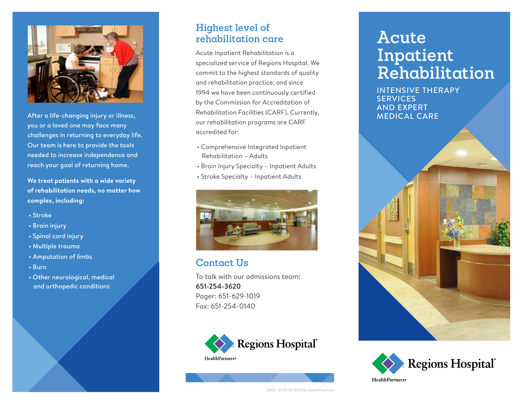

After a life-changing injury or illness, you or a loved one may face many challenges in returning to everyday life. Our team is here to provide the tools needed to increase independence and reach your goal of returning home.

**We treat patients with a wide variety of rehabilitation needs, no matter how complex, including:**

- Stroke
- Brain injury
- Spinal cord injury
- Multiple trauma
- Amputation of limbs
- Burn
- Other neurological, medical and orthopedic conditions

### **Highest level of rehabilitation care**

Acute Inpatient Rehabilitation is a specialized service of Regions Hospital. We commit to the highest standards of quality and rehabilitation practice, and since 1994 we have been continuously certified by the Commission for Accreditation of Rehabilitation Facilities (CARF). Currently, our rehabilitation programs are CARF accredited for:

- Comprehensive Integrated Inpatient Rehabilitation – Adults
- Brain Injury Specialty Inpatient Adults
- Stroke Specialty Inpatient Adults



#### **Contact Us**

To talk with our admissions team: **651-254-3620** Pager: 651-629-1019 Fax: 651-254-0140



# **Acute Inpatient Rehabilitation**

INTENSIVE THERAPY **SERVICES** AND EXPERT MEDICAL CARE





2955-01 (5/16) ©2016 HealthPartners